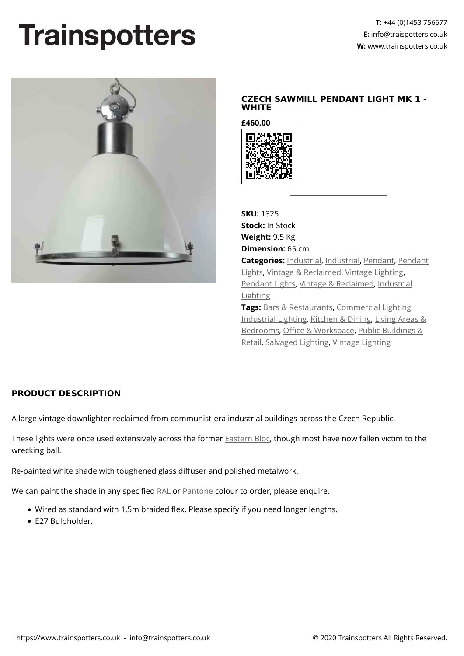## **Trainspotters**



## **CZECH SAWMILL PENDANT LIGHT MK 1 - WHITE**

**£460.00**



**SKU:** 1325 **Stock:** In Stock **Weight:** 9.5 Kg **Dimension:** 65 cm **Categories:** [Industrial](https://www.trainspotters.co.uk/industrial/), [Industrial,](https://www.trainspotters.co.uk/industrial/) [Pendant,](https://www.trainspotters.co.uk/pendant-lights/) [Pendant](https://www.trainspotters.co.uk/pendant-lights/) [Lights](https://www.trainspotters.co.uk/pendant-lights/), [Vintage & Reclaimed](https://www.trainspotters.co.uk/vintage-reclaimed/), [Vintage Lighting](https://www.trainspotters.co.uk/vintage-reclaimed/), [Pendant Lights](https://www.trainspotters.co.uk/pendant-lights/), [Vintage & Reclaimed,](https://www.trainspotters.co.uk/vintage-reclaimed/) [Industrial](https://www.trainspotters.co.uk/industrial/) [Lighting](https://www.trainspotters.co.uk/industrial/) **Tags:** [Bars & Restaurants,](https://www.trainspotters.co.uk/bars-restaurants/) [Commercial Lighting,](https://www.trainspotters.co.uk/commercial-lighting/) [Industrial Lighting,](https://www.trainspotters.co.uk/industrial/) [Kitchen & Dining](https://www.trainspotters.co.uk/kitchen-dining/), [Living Areas &](https://www.trainspotters.co.uk/living-areas-bedrooms/) [Bedrooms](https://www.trainspotters.co.uk/living-areas-bedrooms/), [Office & Workspace,](https://www.trainspotters.co.uk/office-workspace/) [Public Buildings &](https://www.trainspotters.co.uk/public-buildings-retail/)

[Retail,](https://www.trainspotters.co.uk/public-buildings-retail/) [Salvaged Lighting,](https://www.trainspotters.co.uk/vintage-reclaimed/) [Vintage Lighting](https://www.trainspotters.co.uk/vintage-reclaimed/)

## **PRODUCT DESCRIPTION**

A large vintage downlighter reclaimed from communist-era industrial buildings across the Czech Republic.

These lights were once used extensively across the former **[Eastern Bloc](https://en.wikipedia.org/wiki/Eastern_Bloc)**, though most have now fallen victim to the wrecking ball.

Re-painted white shade with toughened glass diffuser and polished metalwork.

We can paint the shade in any specified [RAL](https://www.ralcolor.com/) or [Pantone](https://www.pantone-colours.com/) colour to order, please enquire.

- Wired as standard with 1.5m braided flex. Please specify if you need longer lengths.
- E27 Bulbholder.